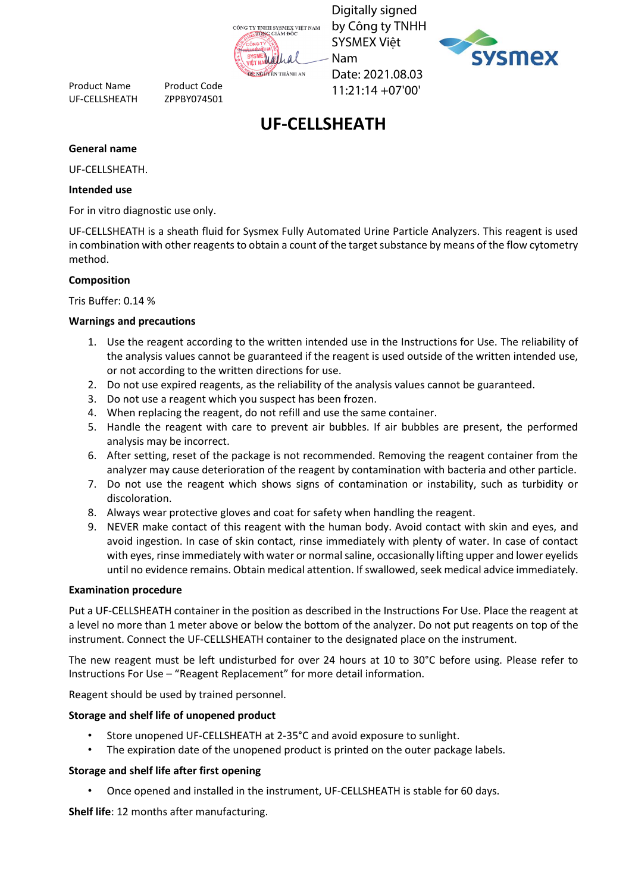

Digitally signed by Công ty TNHH SYSMEX Việt Nam Date: 2021.08.03 11:21:14 +07'00'



# **UF-CELLSHEATH**

#### **General name**

UF-CELLSHEATH.

#### **Intended use**

For in vitro diagnostic use only.

Product Name Product Code UF-CELLSHEATH ZPPBY074501

UF-CELLSHEATH is a sheath fluid for Sysmex Fully Automated Urine Particle Analyzers. This reagent is used in combination with other reagents to obtain a count of the target substance by means of the flow cytometry method.

#### **Composition**

Tris Buffer: 0.14 %

#### **Warnings and precautions**

- 1. Use the reagent according to the written intended use in the Instructions for Use. The reliability of the analysis values cannot be guaranteed if the reagent is used outside of the written intended use, or not according to the written directions for use.
- 2. Do not use expired reagents, as the reliability of the analysis values cannot be guaranteed.
- 3. Do not use a reagent which you suspect has been frozen.
- 4. When replacing the reagent, do not refill and use the same container.
- 5. Handle the reagent with care to prevent air bubbles. If air bubbles are present, the performed analysis may be incorrect.
- 6. After setting, reset of the package is not recommended. Removing the reagent container from the analyzer may cause deterioration of the reagent by contamination with bacteria and other particle.
- 7. Do not use the reagent which shows signs of contamination or instability, such as turbidity or discoloration.
- 8. Always wear protective gloves and coat for safety when handling the reagent.
- 9. NEVER make contact of this reagent with the human body. Avoid contact with skin and eyes, and avoid ingestion. In case of skin contact, rinse immediately with plenty of water. In case of contact with eyes, rinse immediately with water or normal saline, occasionally lifting upper and lower eyelids until no evidence remains. Obtain medical attention. If swallowed, seek medical advice immediately.

#### **Examination procedure**

Put a UF-CELLSHEATH container in the position as described in the Instructions For Use. Place the reagent at a level no more than 1 meter above or below the bottom of the analyzer. Do not put reagents on top of the instrument. Connect the UF-CELLSHEATH container to the designated place on the instrument.

The new reagent must be left undisturbed for over 24 hours at 10 to 30°C before using. Please refer to Instructions For Use – "Reagent Replacement" for more detail information.

Reagent should be used by trained personnel.

#### **Storage and shelf life of unopened product**

- Store unopened UF-CELLSHEATH at 2-35°C and avoid exposure to sunlight.
- The expiration date of the unopened product is printed on the outer package labels.

#### **Storage and shelf life after first opening**

• Once opened and installed in the instrument, UF-CELLSHEATH is stable for 60 days.

**Shelf life**: 12 months after manufacturing.